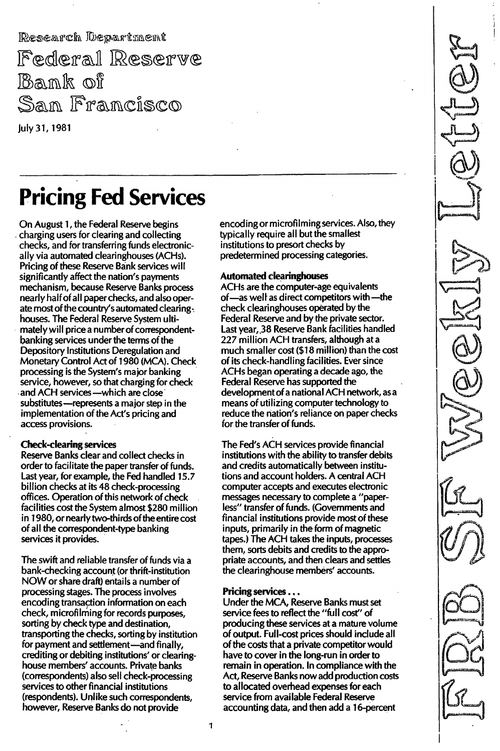Research Department

Federal Reserve Bank of San Francisco

July 31, 1981

# Pricing Fed Services

On August 1, the Federal Reserve begins charging users for clearing and collecting checks, and for transferring funds electronically via automated clearinghouses (ACHs). Pricing of these Reserve Bank services will significantly affect the nation's payments mechanism, because Reserve Banks process nearly half of all paper checks, and also operate most of the country's automated clearing. houses. The Federal Reserve System ultimately will price a number of correspondentbanking services under the terms of the Depository Institutions Deregulation and Monetary Control Act of 1980 (MCA). Check processing is the System's major banking service, however, so that charging for check and ACH services-which are close substitutes-represents a major step in the implementation of the Act's pricing and access provisions.

#### Check-clearing services

Reserve Banks clear and collect checks in order to facilitate the paper transfer of funds. Last year, for example, the Fed handled 15.7 billion checks at its 48 check-processing offices. Operation of this network of check facilities cost the System almost \$280 million in 1980, or nearly two-thirds of the entire cost of all the correspondent-type banking services it provides.

The swift and reliable transfer of funds via a bank-checking account (or thrift-institution NOW or share draft) entails a number of processing stages. The process involves encoding transaction information on each check, microfilming for records purposes, sorting by check type and destination. transporting the checks, sorting by institution for payment and settlement-and finally, crediting or debiting institutions' or clearinghouse members' accounts. Private banks (correspondents) also sell check-processing services to other financial institutions (respondents). Unlike such correspondents, however, Reserve Banks do not provide

encoding or microfilming services. Also, they typically require all but the smallest institutions to presort checks by predetermined processing categories.

#### Automated clearinghouses

ACHs are the computer-age equivalents of-as well as direct competitors with-the check clearinghouses operated by the Federal Reserve and by the private sector. Last year,.38 Reserve Bank facilities handled 227 million ACH transfers, although at a much smaller cost (\$18 million) than the cost of its check-handling facilities. Ever since ACHs began operating a decade ago, the Federal Reserve has supported the development of a national ACH network, asa means of utilizing computer technology to reduce the nation's reliance on paper checks for the transfer of funds.

The Fed's ACH services provide financial institutions with the ability to transfer debits and credits automatically between institutions and account holders. A central ACH computer accepts and executes electronic messages necessary to complete a "paperless" transfer of funds. (Governments and financial institutions provide most of these inputs, primarily in the form of magnetic tapes.) The ACH takes the inputs, processes them, sorts debits and credits to the appropriate accounts, and then clears and settles the clearinghouse members' accounts.

#### Pricing services ...

Under the MCA, Reserve Banks must set service fees to reflect the "full cost" of producing these services at a mature volume of output. Full-cost prices should include all of the costs that a private competitor wou Id have to cover in the long-run in order to remain in operation. In compliance with the Act, Reserve Banks now add production costs to allocated overhead expenses for each service from available Federal Reserve accounting data, and then add a 16-percent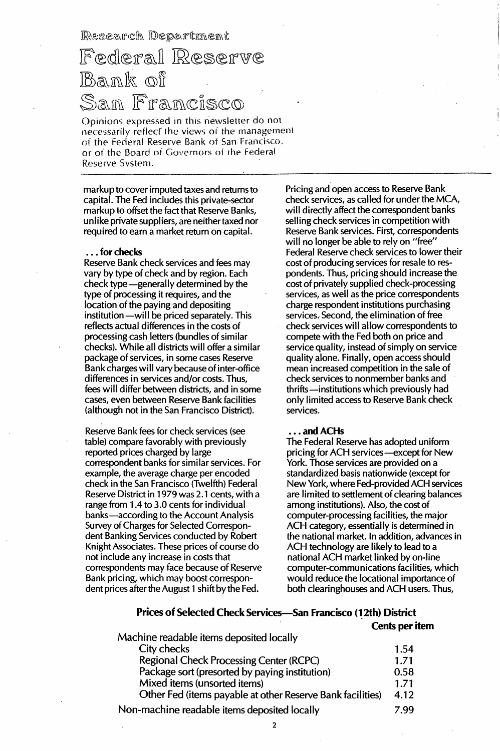Research Department

## Federal Reserve Bank of San Francisco

Opinions expressed in this newsletter do not necessarily reflect the views of the management of the Federal Reserve Bank of San Francisco. or of the Board of Governors of the Federal Reserve System. - - - - - - - - - - , ----

markup to cover imputed taxes and returns to capital. The Fed includes this private-sector markup to offset the fact that Reserve Banks, unlike private suppliers, are neither taxed nor required to earn a market return on capital.

#### . . . for checks

Reserve Bank check services and fees may vary by type of check and by region. Each check type-generally determined by the type of processing it requires, and the location of the paying and depositing institution - will be priced separately. This reflects actual differences in the costs of processing cash letters (bundles of similar checks). While all districts will offer a similar package of services, in some cases Reserve Bank charges will vary because of inter-office differences in services and/or costs. Thus, fees will differ between districts, and in some cases, even between Reserve Bank facilities (although not in the San Francisco District).

Reserve Bank fees for check services (see table) compare favorably with previously reported prices charged by large correspondent banks for similar services. For example, the average charge per encoded check in the San Francisco (Twelfth) Federal Reserve District in 1979 was 2.1 cents, with a range from 1 .4 to 3.0 cents for individual banks-according to the Account Analysis Survey of Charges for Selected Correspondent Banking Services conducted by Robert Knight Associates. These prices of course do not include any increase in costs that correspondents may face because of Reserve Bank pricing, which may boost correspondent prices after the August 1 shift by the Fed.

Pricing and open access to Reserve Bank check services, as called for under the MCA, will directly affect the correspondent banks selling check services 'in competition with Reserve Bank services. First, correspondents will no longer be able to rely on "free" Federal Reserve check services to lower their cost of producing services for resale to respondents. Thus, pricing should increase the cost of privately supplied check-processing services, as well as the price correspondents charge respondent institutions purchasing services. Second, the elimination of free check services will allow correspondents to compete with the Fed both on price and service quality, instead of simply on service quality alone. Finally, open access should mean increased competition in the sale of check services to nonmember banks and thrifts-institutions which previously had only limited access to Reserve Bank check services.

#### ... and ACHs

The Federal Reserve has adopted uniform pricing for ACH services-except for New York. Those services are provided on a standardized basis nationwide (except for New York, where Fed-provided ACH services are limited to settlement of clearing balances among institutions). Also, the cost of computer-processing facilities, the major ACH category, essentially is determined in the national market. In addition, advances in ACH technology are likely to lead to a national ACH market linked by on-line computer-communications facilities, which would reduce the locational importance of both clearinghouses and ACH users. Thus,

#### Prices of Selected Check Services-San Francisco (12th) District

#### Cents per item

| Machine readable items deposited locally                   |      |
|------------------------------------------------------------|------|
| City checks                                                | 1.54 |
| <b>Regional Check Processing Center (RCPC)</b>             | 1.71 |
| Package sort (presorted by paying institution)             | 0.58 |
| Mixed items (unsorted items)                               | 1.71 |
| Other Fed (items payable at other Reserve Bank facilities) | 4.12 |
| Non-machine readable items deposited locally               | 7.99 |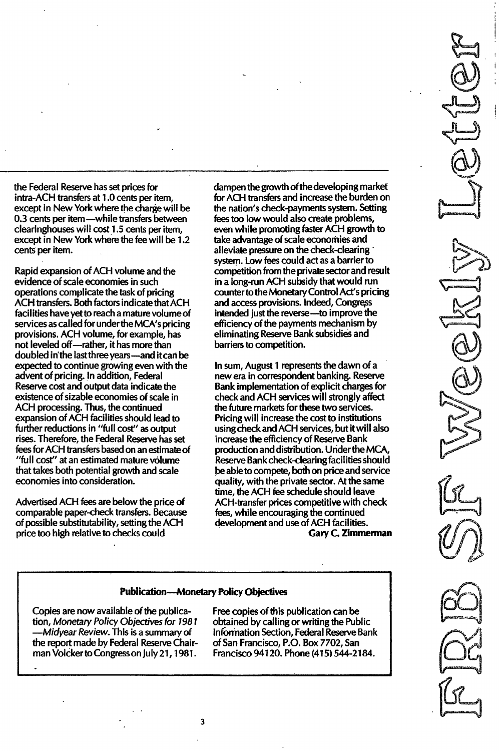the Federal Reserve has set prices for intra-ACH transfers at 1.0 cents per item, except in New York where the charge will be 0.3 cents per item-while transfers between clearinghouses will cost 1.5 cents per item, except in New York where the fee will be 1.2 cents per item.

---\_. \_\_.\_-----\_.\_-\_..\_\_.-\_....\_---\_ •.\_....\_---------------\_. \_-\_ .., ---------\_. \_---

Rapid expansion of ACH volume and the evidence of scale economies in such operations complicate the task of pricing ACH transfers. Both factors indicate that ACH facilities have yet to reach a mature volume of services as called for under the MCA's pricing provisions. ACH volume, for example, has not leveled off-rather, it has more than doubled in the last three years-and it can be expected to continue growing even with the advent of pricing. In addition, Federal Reserve cost and output data indicate the existence of sizable economies of scale in ACH processing. Thus, the continued expansion of ACH facilities should lead to further reductions in "full cost" as output rises. Therefore, the Federal Reserve has set fees for ACH transfers based on an estimate of "full cost" at an estimated mature volume that takes both potential growth and scale economies into consideration.

Advertised ACH fees are below the price of comparable paper-check transfers. Because of possible substitutability, setting the ACH price too high relative to checks could

dampen the growth of the developing market for ACH transfers and increase the burden on the nation's check-payments system. Setting fees too low would also create problems, even while promoting faster ACH growth to take advantage of scale economies and alleviate pressure on the check-clearing' system. Low fees could act as a barrier to competition from the private sector and result in a long-run ACH subsidy that would run counter to the Monetary Control Act's pricing and access provisions. Indeed, intended just the reverse-to improve the efficiency of the payments mechanism by eliminating Reserve Bank subsidies and barriers to competition.

In sum, August 1 represents the dawn of a new era in correspondent banking. Reserve Bank implementation of explicit charges for check and ACH services will strongly affect the future markets for these two services. Pricing will increase the cost to institutions using check and ACH services, but it will also increase the efficiency of Reserve Bank production and distribution. Under the MCA Reserve Bank check-clearing facilities should be able to compete, both on price and service quality, with the private sector. At the same time, the ACH fee schedule should leave ACH-transfer prices competitive with check fees, while encouraging the continued development and use of ACH facilities.

Gary C. Zimmerman

#### Publication-Monetary Policy Objectives

Copies are now available of the publication, Monetary Policy Objectives for 7987 -Midyear Review. This is a summary of the report made by Federal Reserve Chairman Volcker to Congress on July 21, 1981.

Free copies of this publication can be obtained by calling or writing the Public Information Section, Federal Reserve Bank of San Francisco, P.O. Box 7702, San Francisco 941 20. Phone (415) 544-21 84.